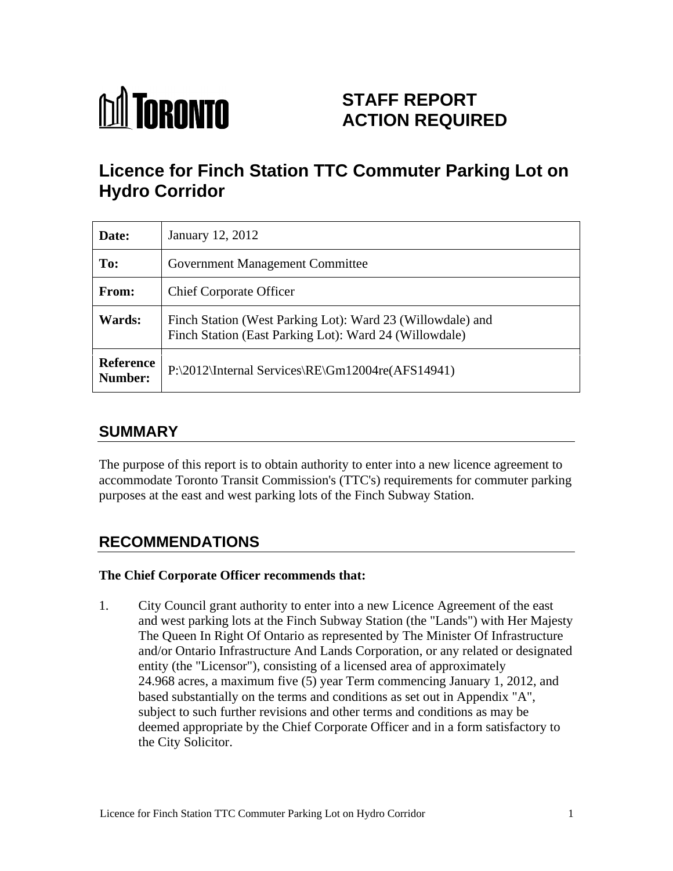

# **STAFF REPORT ACTION REQUIRED**

# **Licence for Finch Station TTC Commuter Parking Lot on Hydro Corridor**

| Date:         | January 12, 2012                                                                                                     |
|---------------|----------------------------------------------------------------------------------------------------------------------|
| To:           | <b>Government Management Committee</b>                                                                               |
| From:         | <b>Chief Corporate Officer</b>                                                                                       |
| <b>Wards:</b> | Finch Station (West Parking Lot): Ward 23 (Willowdale) and<br>Finch Station (East Parking Lot): Ward 24 (Willowdale) |
| Number:       | Reference   P:\2012\Internal Services\RE\Gm12004re(AFS14941)                                                         |

## **SUMMARY**

The purpose of this report is to obtain authority to enter into a new licence agreement to accommodate Toronto Transit Commission's (TTC's) requirements for commuter parking purposes at the east and west parking lots of the Finch Subway Station.

## **RECOMMENDATIONS**

#### **The Chief Corporate Officer recommends that:**

1. City Council grant authority to enter into a new Licence Agreement of the east and west parking lots at the Finch Subway Station (the "Lands") with Her Majesty The Queen In Right Of Ontario as represented by The Minister Of Infrastructure and/or Ontario Infrastructure And Lands Corporation, or any related or designated entity (the "Licensor"), consisting of a licensed area of approximately 24.968 acres, a maximum five (5) year Term commencing January 1, 2012, and based substantially on the terms and conditions as set out in Appendix "A", subject to such further revisions and other terms and conditions as may be deemed appropriate by the Chief Corporate Officer and in a form satisfactory to the City Solicitor.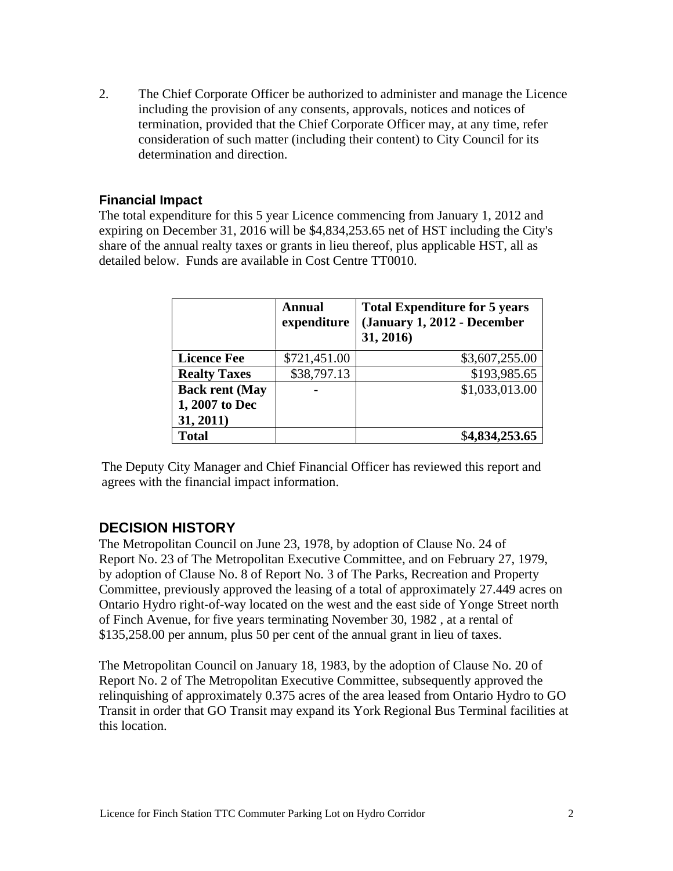2. The Chief Corporate Officer be authorized to administer and manage the Licence including the provision of any consents, approvals, notices and notices of termination, provided that the Chief Corporate Officer may, at any time, refer consideration of such matter (including their content) to City Council for its determination and direction.

#### **Financial Impact**

The total expenditure for this 5 year Licence commencing from January 1, 2012 and expiring on December 31, 2016 will be \$4,834,253.65 net of HST including the City's share of the annual realty taxes or grants in lieu thereof, plus applicable HST, all as detailed below. Funds are available in Cost Centre TT0010.

|                       | <b>Annual</b>            | <b>Total Expenditure for 5 years</b><br>$\vert$ expenditure $\vert$ (January 1, 2012 - December<br>31, 2016) |
|-----------------------|--------------------------|--------------------------------------------------------------------------------------------------------------|
| <b>Licence Fee</b>    | \$721,451.00             | \$3,607,255.00                                                                                               |
| <b>Realty Taxes</b>   | \$38,797.13              | \$193,985.65                                                                                                 |
| <b>Back rent (May</b> | $\overline{\phantom{0}}$ | \$1,033,013.00                                                                                               |
| $\mid$ 1, 2007 to Dec |                          |                                                                                                              |
| 31, 2011)             |                          |                                                                                                              |
| <b>Total</b>          |                          | \$4,834,253.65                                                                                               |

The Deputy City Manager and Chief Financial Officer has reviewed this report and agrees with the financial impact information.

#### **DECISION HISTORY**

The Metropolitan Council on June 23, 1978, by adoption of Clause No. 24 of<br>Report No. 23 of The Metropolitan Executive Committee, and on February 27, 1979,<br>by adoption of Clause No. 8 of Report No. 3 of The Parks, Recreati Committee, previously approved the leasing of a total of approximately 27.449 acres on Ontario Hydro right-of-way located on the west and the east side of Yonge Street north of Finch Avenue, for five years terminating November 30, 1982 , at a rental of \$135,258.00 per annum, plus 50 per cent of the annual grant in lieu of taxes.

The Metropolitan Council on January 18, 1983, by the adoption of Clause No. 20 of Report No. 2 of The Metropolitan Executive Committee, subsequently approved the relinquishing of approximately 0.375 acres of the area leased from Ontario Hydro to GO Transit in order that GO Transit may expand its York Regional Bus Terminal facilities at this location.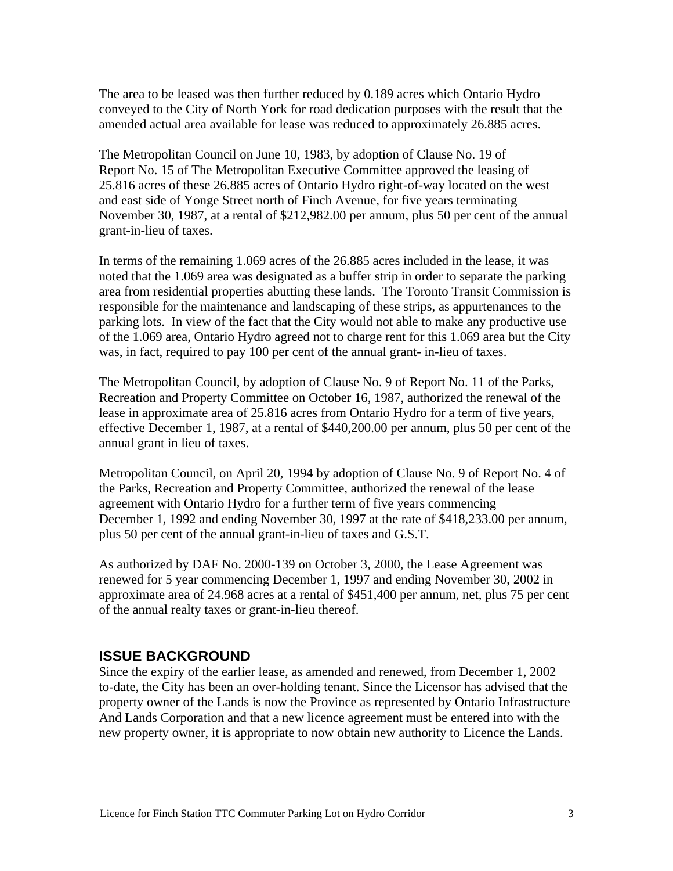The area to be leased was then further reduced by 0.189 acres which Ontario Hydro conveyed to the City of North York for road dedication purposes with the result that the amended actual area available for lease was reduced to approximately 26.885 acres.

The Metropolitan Council on June 10, 1983, by adoption of Clause No. 19 of<br>Report No. 15 of The Metropolitan Executive Committee approved the leasing of<br>25.816 acres of these 26.885 acres of Ontario Hydro right-of-way loca and east side of Yonge Street north of Finch Avenue, for five years terminating November 30, 1987, at a rental of \$212,982.00 per annum, plus 50 per cent of the annual grant-in-lieu of taxes.

In terms of the remaining 1.069 acres of the 26.885 acres included in the lease, it was noted that the 1.069 area was designated as a buffer strip in order to separate the parking area from residential properties abutting these lands. The Toronto Transit Commission is responsible for the maintenance and landscaping of these strips, as appurtenances to the parking lots. In view of the fact that the City would not able to make any productive use of the 1.069 area, Ontario Hydro agreed not to charge rent for this 1.069 area but the City was, in fact, required to pay 100 per cent of the annual grant- in-lieu of taxes.

The Metropolitan Council, by adoption of Clause No. 9 of Report No. 11 of the Parks, Recreation and Property Committee on October 16, 1987, authorized the renewal of the lease in approximate area of 25.816 acres from Ontario Hydro for a term of five years, effective December 1, 1987, at a rental of \$440,200.00 per annum, plus 50 per cent of the annual grant in lieu of taxes.

Metropolitan Council, on April 20, 1994 by adoption of Clause No. 9 of Report No. 4 of the Parks, Recreation and Property Committee, authorized the renewal of the lease agreement with Ontario Hydro for a further term of five years commencing December 1, 1992 and ending November 30, 1997 at the rate of \$418,233.00 per annum, plus 50 per cent of the annual grant-in-lieu of taxes and G.S.T.<br>As authorized by DAF No. 2000-139 on October 3, 2000, the Lease Agreement was

renewed for 5 year commencing December 1, 1997 and ending November 30, 2002 in approximate area of 24.968 acres at a rental of \$451,400 per annum, net, plus 75 per cent of the annual realty taxes or grant-in-lieu thereof.

### **ISSUE BACKGROUND**

Since the expiry of the earlier lease, as amended and renewed, from December 1, 2002 to-date, the City has been an over-holding tenant. Since the Licensor has advised that the property owner of the Lands is now the Province as represented by Ontario Infrastructure And Lands Corporation and that a new licence agreement must be entered into with the new property owner, it is appropriate to now obtain new authority to Licence the Lands.